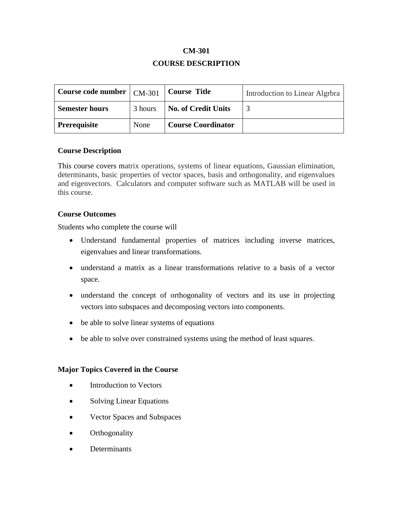## **CM-301 COURSE DESCRIPTION**

| Course code number $\vert$ CM-301 |         | <b>Course Title</b>        | Introduction to Linear Algrbra |
|-----------------------------------|---------|----------------------------|--------------------------------|
| <b>Semester hours</b>             | 3 hours | <b>No. of Credit Units</b> |                                |
| <b>Prerequisite</b>               | None    | <b>Course Coordinator</b>  |                                |

#### **Course Description**

This course covers matrix operations, systems of linear equations, Gaussian elimination, determinants, basic properties of vector spaces, basis and orthogonality, and eigenvalues and eigenvectors. Calculators and computer software such as MATLAB will be used in this course.

#### **Course Outcomes**

Students who complete the course will

- Understand fundamental properties of matrices including inverse matrices, eigenvalues and linear transformations.
- understand a matrix as a linear transformations relative to a basis of a vector space.
- understand the concept of orthogonality of vectors and its use in projecting vectors into subspaces and decomposing vectors into components.
- be able to solve linear systems of equations
- be able to solve over constrained systems using the method of least squares.

#### **Major Topics Covered in the Course**

- Introduction to Vectors
- Solving Linear Equations
- Vector Spaces and Subspaces
- Orthogonality
- Determinants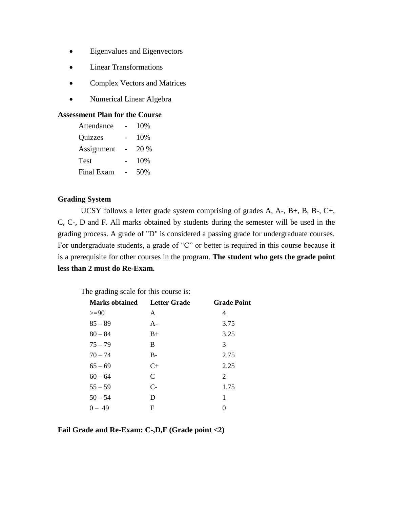- Eigenvalues and Eigenvectors
- Linear Transformations
- Complex Vectors and Matrices
- Numerical Linear Algebra

#### **Assessment Plan for the Course**

| Attendance  | 10%  |
|-------------|------|
| Quizzes     | 10%  |
| Assignment  | 20 % |
| <b>Test</b> | 10%  |
| Final Exam  | 50%  |

#### **Grading System**

UCSY follows a letter grade system comprising of grades A, A-, B+, B, B-, C+, C, C-, D and F. All marks obtained by students during the semester will be used in the grading process. A grade of "D" is considered a passing grade for undergraduate courses. For undergraduate students, a grade of "C" or better is required in this course because it is a prerequisite for other courses in the program. **The student who gets the grade point less than 2 must do Re-Exam.**

| The grading scale for this course is: |                     |                    |  |  |  |
|---------------------------------------|---------------------|--------------------|--|--|--|
| <b>Marks obtained</b>                 | <b>Letter Grade</b> | <b>Grade Point</b> |  |  |  |
| $>=90$                                | A                   | 4                  |  |  |  |
| $85 - 89$                             | $A -$               | 3.75               |  |  |  |
| $80 - 84$                             | $B+$                | 3.25               |  |  |  |
| $75 - 79$                             | B                   | 3                  |  |  |  |
| $70 - 74$                             | $B-$                | 2.75               |  |  |  |
| $65 - 69$                             | $C_{\pm}$           | 2.25               |  |  |  |
| $60 - 64$                             | C                   | 2                  |  |  |  |
| $55 - 59$                             | $C-$                | 1.75               |  |  |  |
| $50 - 54$                             | D                   | 1                  |  |  |  |
| $0 - 49$                              | F                   |                    |  |  |  |

**Fail Grade and Re-Exam: C-,D,F (Grade point <2)**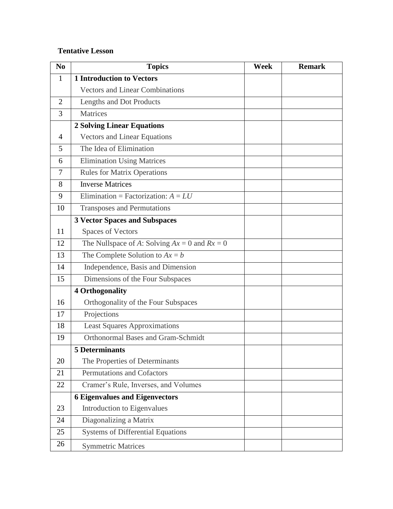### **Tentative Lesson**

| N <sub>0</sub> | <b>Topics</b>                                     | Week | <b>Remark</b> |
|----------------|---------------------------------------------------|------|---------------|
| 1              | <b>1 Introduction to Vectors</b>                  |      |               |
|                | <b>Vectors and Linear Combinations</b>            |      |               |
| $\overline{2}$ | Lengths and Dot Products                          |      |               |
| 3              | Matrices                                          |      |               |
|                | <b>2 Solving Linear Equations</b>                 |      |               |
| $\overline{4}$ | <b>Vectors and Linear Equations</b>               |      |               |
| 5              | The Idea of Elimination                           |      |               |
| 6              | <b>Elimination Using Matrices</b>                 |      |               |
| 7              | <b>Rules for Matrix Operations</b>                |      |               |
| 8              | <b>Inverse Matrices</b>                           |      |               |
| 9              | Elimination = Factorization: $A = LU$             |      |               |
| 10             | <b>Transposes and Permutations</b>                |      |               |
|                | <b>3 Vector Spaces and Subspaces</b>              |      |               |
| 11             | <b>Spaces of Vectors</b>                          |      |               |
| 12             | The Nullspace of A: Solving $Ax = 0$ and $Rx = 0$ |      |               |
| 13             | The Complete Solution to $Ax = b$                 |      |               |
| 14             | Independence, Basis and Dimension                 |      |               |
| 15             | Dimensions of the Four Subspaces                  |      |               |
|                | <b>4 Orthogonality</b>                            |      |               |
| 16             | Orthogonality of the Four Subspaces               |      |               |
| 17             | Projections                                       |      |               |
| 18             | <b>Least Squares Approximations</b>               |      |               |
| 19             | <b>Orthonormal Bases and Gram-Schmidt</b>         |      |               |
|                | <b>5 Determinants</b>                             |      |               |
| 20             | The Properties of Determinants                    |      |               |
| 21             | <b>Permutations and Cofactors</b>                 |      |               |
| 22             | Cramer's Rule, Inverses, and Volumes              |      |               |
|                | <b>6 Eigenvalues and Eigenvectors</b>             |      |               |
| 23             | Introduction to Eigenvalues                       |      |               |
| 24             | Diagonalizing a Matrix                            |      |               |
| 25             | <b>Systems of Differential Equations</b>          |      |               |
| 26             | <b>Symmetric Matrices</b>                         |      |               |